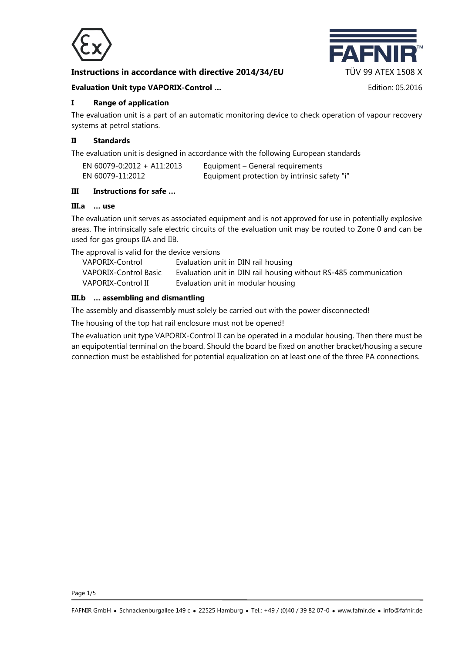

# **Instructions in accordance with directive 2014/34/EU TÜV 99 ATEX 1508 X**



#### **Evaluation Unit type VAPORIX-Control …** Edition: 05.2016

## **I Range of application**

The evaluation unit is a part of an automatic monitoring device to check operation of vapour recovery systems at petrol stations.

## **II Standards**

The evaluation unit is designed in accordance with the following European standards

| EN 60079-0:2012 + A11:2013 | Equipment – General requirements             |
|----------------------------|----------------------------------------------|
| EN 60079-11:2012           | Equipment protection by intrinsic safety "i" |

## **III Instructions for safe …**

#### **III.a … use**

The evaluation unit serves as associated equipment and is not approved for use in potentially explosive areas. The intrinsically safe electric circuits of the evaluation unit may be routed to Zone 0 and can be used for gas groups IIA and IIB.

The approval is valid for the device versions

| VAPORIX-Control       | Evaluation unit in DIN rail housing                              |
|-----------------------|------------------------------------------------------------------|
| VAPORIX-Control Basic | Evaluation unit in DIN rail housing without RS-485 communication |
| VAPORIX-Control II    | Evaluation unit in modular housing                               |

## **III.b … assembling and dismantling**

The assembly and disassembly must solely be carried out with the power disconnected!

The housing of the top hat rail enclosure must not be opened!

The evaluation unit type VAPORIX-Control II can be operated in a modular housing. Then there must be an equipotential terminal on the board. Should the board be fixed on another bracket/housing a secure connection must be established for potential equalization on at least one of the three PA connections.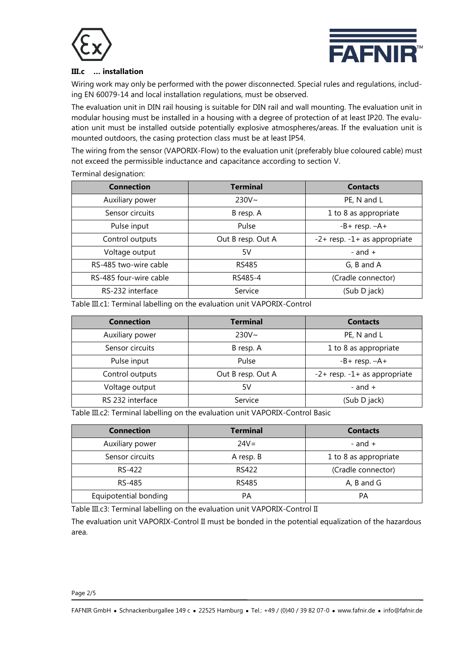



## **III.c … installation**

Wiring work may only be performed with the power disconnected. Special rules and regulations, including EN 60079-14 and local installation regulations, must be observed.

The evaluation unit in DIN rail housing is suitable for DIN rail and wall mounting. The evaluation unit in modular housing must be installed in a housing with a degree of protection of at least IP20. The evaluation unit must be installed outside potentially explosive atmospheres/areas. If the evaluation unit is mounted outdoors, the casing protection class must be at least IP54.

The wiring from the sensor (VAPORIX-Flow) to the evaluation unit (preferably blue coloured cable) must not exceed the permissible inductance and capacitance according to section V.

#### Terminal designation:

| <b>Connection</b>      | <b>Terminal</b>   | <b>Contacts</b>                    |  |  |
|------------------------|-------------------|------------------------------------|--|--|
| Auxiliary power        | $230V \sim$       | PE, N and L                        |  |  |
| Sensor circuits        | B resp. A         | 1 to 8 as appropriate              |  |  |
| Pulse input            | Pulse             | $-B+$ resp. $-A+$                  |  |  |
| Control outputs        | Out B resp. Out A | $-2$ + resp. $-1$ + as appropriate |  |  |
| Voltage output         | 5V                | - and $+$                          |  |  |
| RS-485 two-wire cable  | <b>RS485</b>      | G, B and A                         |  |  |
| RS-485 four-wire cable | RS485-4           | (Cradle connector)                 |  |  |
| RS-232 interface       | Service           | (Sub D jack)                       |  |  |

Table III.c1: Terminal labelling on the evaluation unit VAPORIX-Control

| <b>Connection</b> | <b>Terminal</b>   | <b>Contacts</b>                    |  |
|-------------------|-------------------|------------------------------------|--|
| Auxiliary power   | $230V \sim$       | PE, N and L                        |  |
| Sensor circuits   | B resp. A         | 1 to 8 as appropriate              |  |
| Pulse input       | Pulse             | $-B+$ resp. $-A+$                  |  |
| Control outputs   | Out B resp. Out A | $-2$ + resp. $-1$ + as appropriate |  |
| Voltage output    | 5۷                | - and $+$                          |  |
| RS 232 interface  | Service           | (Sub D jack)                       |  |

Table III.c2: Terminal labelling on the evaluation unit VAPORIX-Control Basic

| <b>Connection</b>     | <b>Terminal</b> | <b>Contacts</b>       |
|-----------------------|-----------------|-----------------------|
| Auxiliary power       | $24V =$         | - and $+$             |
| Sensor circuits       | A resp. B       | 1 to 8 as appropriate |
| RS-422                | <b>RS422</b>    | (Cradle connector)    |
| RS-485                | RS485           | A, B and G            |
| Equipotential bonding | PА              | PA                    |

Table III.c3: Terminal labelling on the evaluation unit VAPORIX-Control II

The evaluation unit VAPORIX-Control II must be bonded in the potential equalization of the hazardous area.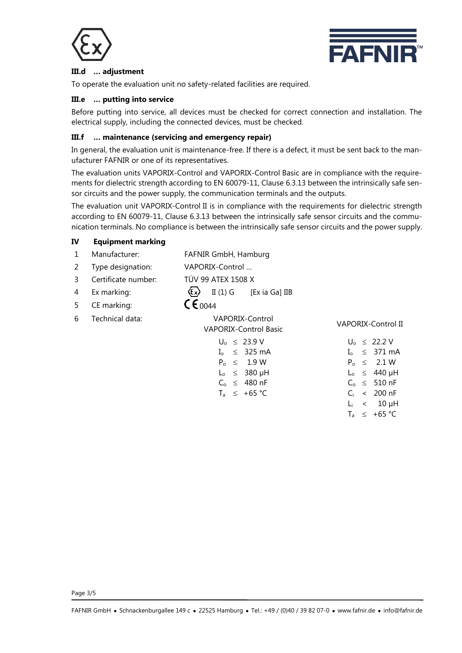



## **III.d … adjustment**

To operate the evaluation unit no safety-related facilities are required.

#### **III.e … putting into service**

**IV Equipment marking**

Before putting into service, all devices must be checked for correct connection and installation. The electrical supply, including the connected devices, must be checked.

## **III.f … maintenance (servicing and emergency repair)**

In general, the evaluation unit is maintenance-free. If there is a defect, it must be sent back to the manufacturer FAFNIR or one of its representatives.

The evaluation units VAPORIX-Control and VAPORIX-Control Basic are in compliance with the requirements for dielectric strength according to EN 60079-11, Clause 6.3.13 between the intrinsically safe sensor circuits and the power supply, the communication terminals and the outputs.

The evaluation unit VAPORIX-Control II is in compliance with the requirements for dielectric strength according to EN 60079-11, Clause 6.3.13 between the intrinsically safe sensor circuits and the communication terminals. No compliance is between the intrinsically safe sensor circuits and the power supply.

| 1 | Manufacturer:       | FAFNIR GmbH, Hamburg                                                 |                           |
|---|---------------------|----------------------------------------------------------------------|---------------------------|
| 2 | Type designation:   | VAPORIX-Control                                                      |                           |
| 3 | Certificate number: | TÜV 99 ATEX 1508 X                                                   |                           |
| 4 | Ex marking:         | $\langle \epsilon_{\mathsf{x}} \rangle$<br>II $(1)$ G [Ex ia Ga] IIB |                           |
| 5 | CE marking:         | $C \epsilon_{0044}$                                                  |                           |
| 6 | Technical data:     | <b>VAPORIX-Control</b><br><b>VAPORIX-Control Basic</b>               | <b>VAPORIX-Control II</b> |
|   |                     | $U_0 \leq 23.9 V$                                                    | $U_0 \leq 22.2 V$         |
|   |                     | $\leq$ 325 mA<br>$I_{\alpha}$                                        | $\leq$ 371 mA             |
|   |                     | $P_0 \leq 1.9 W$                                                     | $P_0 \leq 2.1 W$          |
|   |                     | $L_0 \leq 380 \mu H$                                                 | $L_0 \leq 440 \mu H$      |
|   |                     | $C_0 \leq 480$ nF                                                    | $C_0 \leq 510$ nF         |
|   |                     | $T_a \leq +65 \degree C$                                             | $< 200$ nF<br>$C_i$       |
|   |                     |                                                                      | $\lt$ 10 $\mu$ H<br>Li.   |
|   |                     |                                                                      | $\leq +65$ °C<br>$T_{a}$  |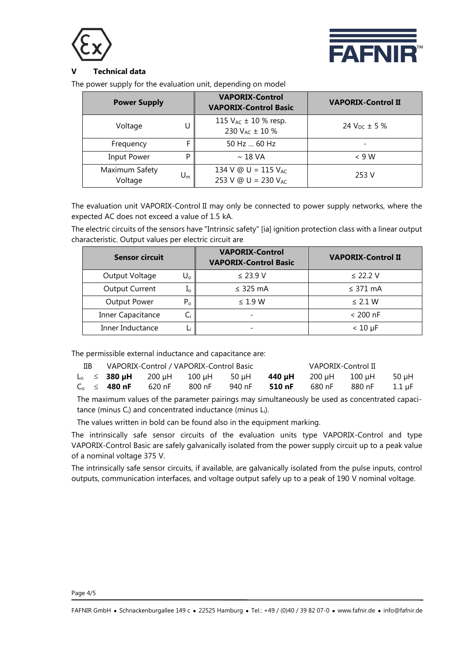



## **V Technical data**

The power supply for the evaluation unit, depending on model

| <b>Power Supply</b>       |    | <b>VAPORIX-Control</b><br><b>VAPORIX-Control Basic</b>  | <b>VAPORIX-Control II</b> |  |
|---------------------------|----|---------------------------------------------------------|---------------------------|--|
| Voltage                   | U  | 115 $V_{AC}$ ± 10 % resp.<br>230 V <sub>AC</sub> ± 10 % | 24 $V_{DC}$ ± 5 %         |  |
| Frequency                 |    | 50 Hz  60 Hz                                            |                           |  |
| Input Power               | P  | $\sim$ 18 VA                                            | $\leq 9 W$                |  |
| Maximum Safety<br>Voltage | Um | 134 V @ U = 115 $V_{AC}$<br>253 V @ U = 230 $V_{AC}$    | 253 V                     |  |

The evaluation unit VAPORIX-Control II may only be connected to power supply networks, where the expected AC does not exceed a value of 1.5 kA.

The electric circuits of the sensors have "Intrinsic safety" [ia] ignition protection class with a linear output characteristic. Output values per electric circuit are

| <b>Sensor circuit</b> |         | <b>VAPORIX-Control</b><br><b>VAPORIX-Control Basic</b> | <b>VAPORIX-Control II</b> |  |
|-----------------------|---------|--------------------------------------------------------|---------------------------|--|
| Output Voltage        | U。      | $\leq$ 23.9 V                                          | $\leq$ 22.2 V             |  |
| <b>Output Current</b> | ⊥ი      | $\leq$ 325 mA                                          | $\leq$ 371 mA             |  |
| <b>Output Power</b>   | $P_{o}$ | $\leq 1.9$ W                                           | $\leq$ 2.1 W              |  |
| Inner Capacitance     | Ci      |                                                        | $< 200$ nF                |  |
| Inner Inductance      |         |                                                        | $< 10 \mu F$              |  |

The permissible external inductance and capacitance are:

| IIB. | VAPORIX-Control / VAPORIX-Control Basic |                                                      |        |         | VAPORIX-Control II          |        |        |          |
|------|-----------------------------------------|------------------------------------------------------|--------|---------|-----------------------------|--------|--------|----------|
|      |                                         | $L_0 \leq 380 \,\mu\text{H}$ 200 $\mu$ H 100 $\mu$ H |        | – 50 uH | <b>440 uH</b> 200 uH 100 uH |        |        | -50 uH   |
|      | $C_{\odot} \leq 480$ nF                 | 620 nF                                               | 800 nF | 940 nF  | 510 nF                      | 680 nF | 880 nF | - 1.1 uF |

The maximum values of the parameter pairings may simultaneously be used as concentrated capacitance (minus  $C_i$ ) and concentrated inductance (minus  $L_i$ ).

The values written in bold can be found also in the equipment marking.

The intrinsically safe sensor circuits of the evaluation units type VAPORIX-Control and type VAPORIX-Control Basic are safely galvanically isolated from the power supply circuit up to a peak value of a nominal voltage 375 V.

The intrinsically safe sensor circuits, if available, are galvanically isolated from the pulse inputs, control outputs, communication interfaces, and voltage output safely up to a peak of 190 V nominal voltage.